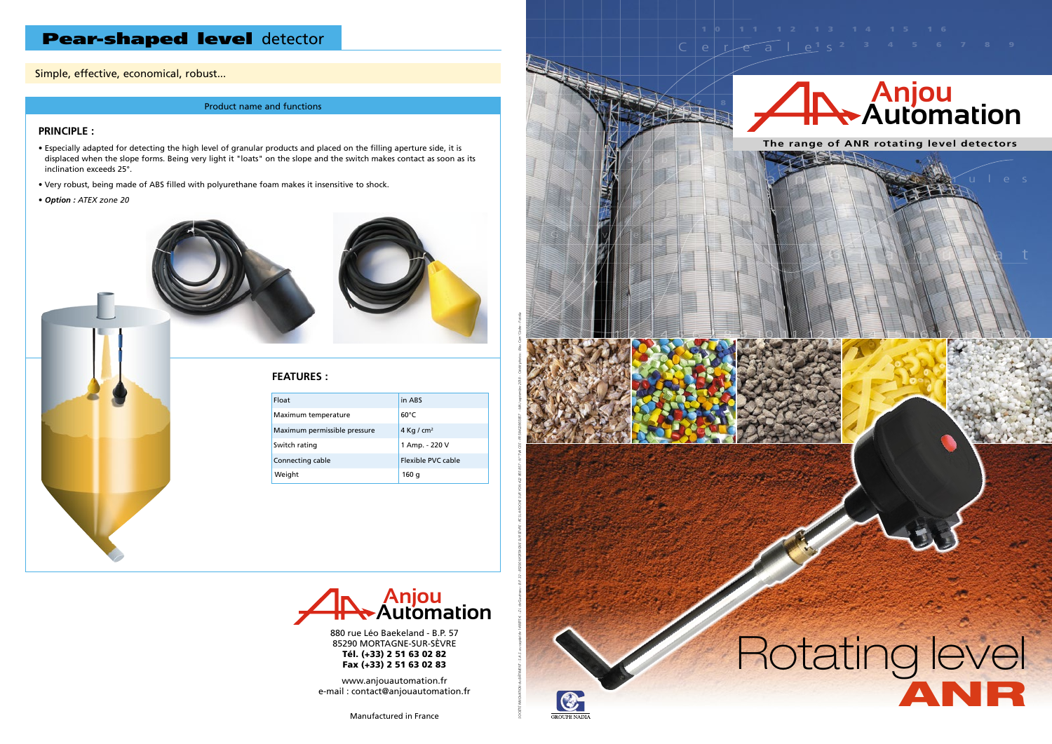1 2 3 4 5 6 7 8 9

 $S \big/$ a $\big\|$ b $\big\|$ e

 $C \cup \mathbb{N}$   $\neq$ 

Gra/V//er

SOGÉTÉ MNOVATION du BATMENT - S.A.S. au capital de 148875 € - Z.J. de Gaureau - B.P. 32 - 85290 MORTAGING ISON BATCHE SUR YON 422 865 837 - NP TVA CEE - FR S9422865857 - MAJ septembre 2018 - Crédit photos : Bleu Com' Gedre

 $\circ$ 

 $Z$ e $\rightarrow$ nt

# **Anjou Automation**

Cerea<u>le</u><sup>1</sup> s<sup>2</sup> <sup>3</sup> <sup>4</sup> <sup>5</sup> 6 7 8 9

290 MORTAGNE-SUR-SÈV<br>**Tél. (+33) 2 51 63 02 82 Automation** Fax (+33) 2 51 63 02 83 880 rue Léo Baekeland - B.P. 57 85290 MORTAGNE-SUR-SÈVRE





*L'innovation est notre culture* www.anjouautomation.fr e-mail : contact@anjouautomation.fr

> tured in France Manufactured in France<br> **Manufactured in France**

### **PRINCIPLE :**

- Especially adapted for detecting the high level of granular products and placed on the filling aperture side, it is displaced when the slope forms. Being very light it "loats" on the slope and the switch makes contact as soon as its inclination exceeds 25°.
- Very robust, being made of ABS filled with polyurethane foam makes it insensitive to shock.
- *Option : ATEX zone 20*





### **FEATURES :**

| Float                        | in ABS             |
|------------------------------|--------------------|
| Maximum temperature          | $60^{\circ}$ C     |
| Maximum permissible pressure | 4 Kg / $cm2$       |
| Switch rating                | 1 Amp. - 220 V     |
| Connecting cable             | Flexible PVC cable |
| Weight                       | 160 g              |

# Pear-shaped level detector

Simple, effective, economical, robust...

#### Product name and functions